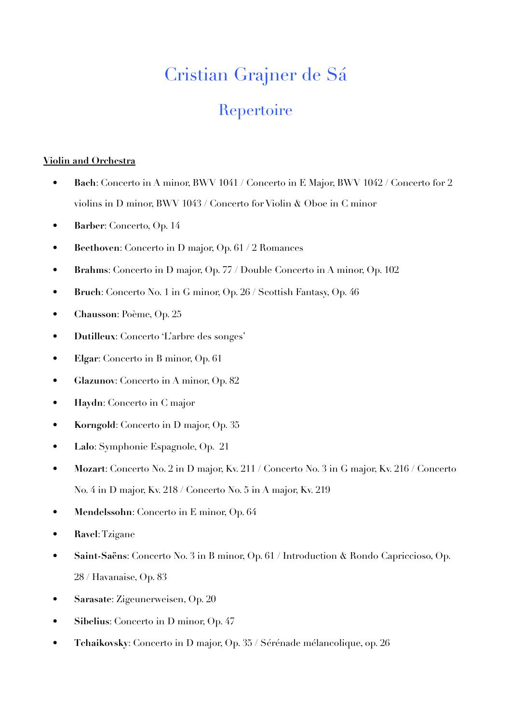## Cristian Grajner de Sá

## Repertoire

## **Violin and Orchestra**

- **Bach**: Concerto in A minor, BWV 1041 / Concerto in E Major, BWV 1042 / Concerto for 2 violins in D minor, BWV 1043 / Concerto for Violin & Oboe in C minor
- **Barber**: Concerto, Op. 14
- **Beethoven**: Concerto in D major, Op. 61 / 2 Romances
- **Brahms**: Concerto in D major, Op. 77 / Double Concerto in A minor, Op. 102
- **Bruch**: Concerto No. 1 in G minor, Op. 26 / Scottish Fantasy, Op. 46
- **Chausson**: Poème, Op. 25
- **Dutilleux**: Concerto 'L'arbre des songes'
- **Elgar**: Concerto in B minor, Op. 61
- **Glazunov**: Concerto in A minor, Op. 82
- **Haydn**: Concerto in C major
- **Korngold**: Concerto in D major, Op. 35
- **Lalo**: Symphonie Espagnole, Op. 21
- **Mozart**: Concerto No. 2 in D major, Kv. 211 / Concerto No. 3 in G major, Kv. 216 / Concerto No. 4 in D major, Kv. 218 / Concerto No. 5 in A major, Kv. 219
- **Mendelssohn**: Concerto in E minor, Op. 64
- **Ravel**: Tzigane
- **Saint-Saëns**: Concerto No. 3 in B minor, Op. 61 / Introduction & Rondo Capriccioso, Op. 28 / Havanaise, Op. 83
- **Sarasate**: Zigeunerweisen, Op. 20
- **Sibelius**: Concerto in D minor, Op. 47
- **Tchaikovsky**: Concerto in D major, Op. 35 / Sérénade mélancolique, op. 26